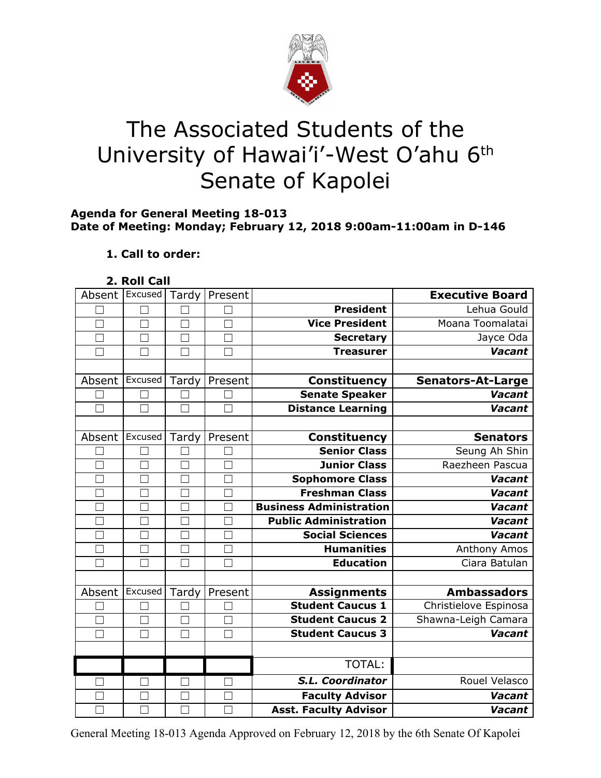

# The Associated Students of the University of Hawai'i'-West O'ahu 6<sup>th</sup> Senate of Kapolei

#### **Agenda for General Meeting 18-013 Date of Meeting: Monday; February 12, 2018 9:00am-11:00am in D-146**

# **1. Call to order:**

## **2. Roll Call**

| Absent            | Excused | Tardy             | Present |                                | <b>Executive Board</b>   |
|-------------------|---------|-------------------|---------|--------------------------------|--------------------------|
|                   |         |                   |         | <b>President</b>               | Lehua Gould              |
| $\vert \ \ \vert$ | П       | $\Box$            |         | <b>Vice President</b>          | Moana Toomalatai         |
|                   | $\Box$  | $\Box$            |         | <b>Secretary</b>               | Jayce Oda                |
|                   | П       | $\Box$            |         | <b>Treasurer</b>               | <b>Vacant</b>            |
|                   |         |                   |         |                                |                          |
| Absent            | Excused | Tardy             | Present | <b>Constituency</b>            | <b>Senators-At-Large</b> |
|                   | П       |                   |         | <b>Senate Speaker</b>          | <b>Vacant</b>            |
| П                 | П       | $\Box$            | П       | <b>Distance Learning</b>       | <b>Vacant</b>            |
|                   |         |                   |         |                                |                          |
| Absent            | Excused | Tardy             | Present | <b>Constituency</b>            | <b>Senators</b>          |
|                   |         |                   |         | <b>Senior Class</b>            | Seung Ah Shin            |
|                   |         |                   |         | <b>Junior Class</b>            | Raezheen Pascua          |
|                   | $\Box$  |                   |         | <b>Sophomore Class</b>         | Vacant                   |
|                   | ×       | Г                 |         | <b>Freshman Class</b>          | <b>Vacant</b>            |
| $\Box$            | $\Box$  | Г                 |         | <b>Business Administration</b> | Vacant                   |
| $\Box$            | П       | $\Box$            | П       | <b>Public Administration</b>   | Vacant                   |
|                   | H       | $\vert \ \ \vert$ |         | <b>Social Sciences</b>         | Vacant                   |
| П                 | П       | $\Box$            |         | <b>Humanities</b>              | Anthony Amos             |
| $\Box$            | $\Box$  | $\Box$            |         | <b>Education</b>               | Ciara Batulan            |
|                   |         |                   |         |                                |                          |
| Absent            | Excused | Tardy             | Present | <b>Assignments</b>             | <b>Ambassadors</b>       |
|                   |         |                   |         | <b>Student Caucus 1</b>        | Christielove Espinosa    |
| $\Box$            | $\Box$  | $\Box$            | $\Box$  | <b>Student Caucus 2</b>        | Shawna-Leigh Camara      |
| П                 | П       | $\Box$            | П       | <b>Student Caucus 3</b>        | <b>Vacant</b>            |
|                   |         |                   |         |                                |                          |
|                   |         |                   |         | TOTAL:                         |                          |
|                   |         |                   |         | S.L. Coordinator               | Rouel Velasco            |
|                   |         |                   |         | <b>Faculty Advisor</b>         | <b>Vacant</b>            |
|                   |         |                   |         | <b>Asst. Faculty Advisor</b>   | Vacant                   |

General Meeting 18-013 Agenda Approved on February 12, 2018 by the 6th Senate Of Kapolei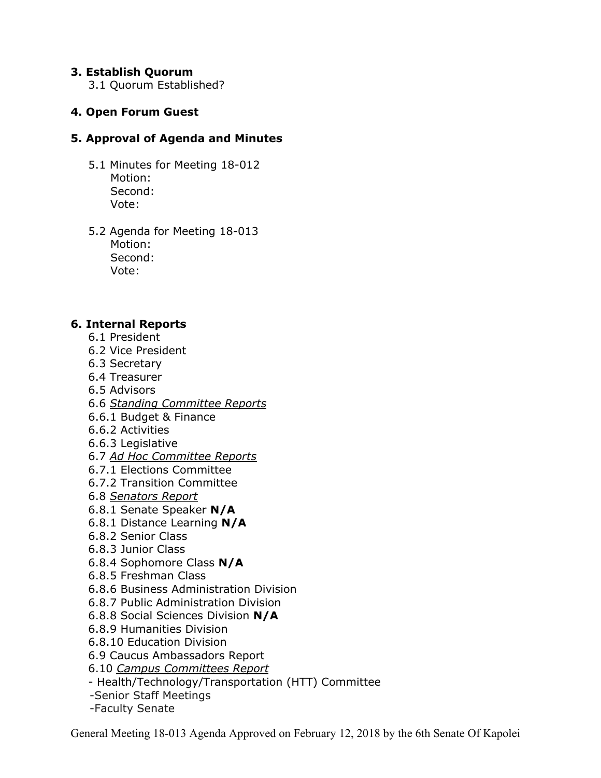## **3. Establish Quorum**

3.1 Quorum Established?

# **4. Open Forum Guest**

## **5. Approval of Agenda and Minutes**

- 5.1 Minutes for Meeting 18-012 Motion: Second: Vote:
- 5.2 Agenda for Meeting 18-013 Motion: Second: Vote:

## **6. Internal Reports**

- 6.1 President
- 6.2 Vice President
- 6.3 Secretary
- 6.4 Treasurer
- 6.5 Advisors
- 6.6 *Standing Committee Reports*
- 6.6.1 Budget & Finance
- 6.6.2 Activities
- 6.6.3 Legislative
- 6.7 *Ad Hoc Committee Reports*
- 6.7.1 Elections Committee
- 6.7.2 Transition Committee
- 6.8 *Senators Report*
- 6.8.1 Senate Speaker **N/A**
- 6.8.1 Distance Learning **N/A**
- 6.8.2 Senior Class
- 6.8.3 Junior Class
- 6.8.4 Sophomore Class **N/A**
- 6.8.5 Freshman Class
- 6.8.6 Business Administration Division
- 6.8.7 Public Administration Division
- 6.8.8 Social Sciences Division **N/A**
- 6.8.9 Humanities Division
- 6.8.10 Education Division
- 6.9 Caucus Ambassadors Report
- 6.10 *Campus Committees Report*
- Health/Technology/Transportation (HTT) Committee
- -Senior Staff Meetings
- -Faculty Senate